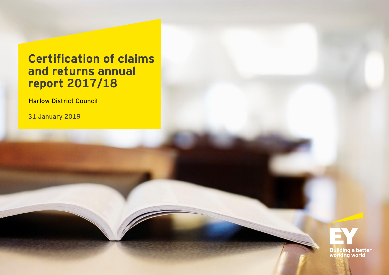## **Certification of claims and returns annual report 2017/18**

Harlow District Council

31 January 2019

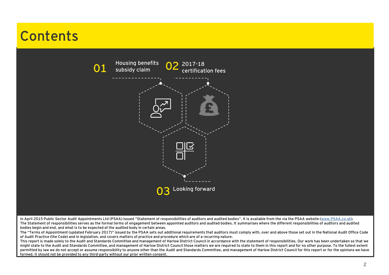# **Contents**



In April 2015 Public Sector Audit Appointments Ltd (PSAA) issued "Statement of responsibilities of auditors and audited bodies". It is available from the via the PSAA website [\(www.PSAA.co.uk\)](http://www.psaa.co.uk/). The Statement of responsibilities serves as the formal terms of engagement between appointed auditors and audited bodies. It summarises where the different responsibilities of auditors and audited bodies begin and end, and what is to be expected of the audited body in certain areas.

The "Terms of Appointment (updated February 2017)" issued by the PSAA sets out additional requirements that auditors must comply with, over and above those set out in the National Audit Office Code of Audit Practice (the Code) and in legislation, and covers matters of practice and procedure which are of a recurring nature.

This report is made solely to the Audit and Standards Committee and management of Harlow District Council in accordance with the statement of responsibilities. Our work has been undertaken so that we might state to the Audit and Standards Committee, and management of Harlow District Council those matters we are required to state to them in this report and for no other purpose. To the fullest extent permitted by law we do not accept or assume responsibility to anyone other than the Audit and Standards Committee, and management of Harlow District Council for this report or for the opinions we have formed. It should not be provided to any third-party without our prior written consent.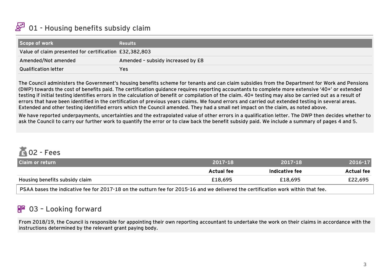#### <span id="page-2-0"></span>**A** 01 - Housing benefits subsidy claim

| Scope of work                                          | <b>Results</b>                    |
|--------------------------------------------------------|-----------------------------------|
| Value of claim presented for certification £32,382,803 |                                   |
| Amended/Not amended                                    | Amended - subsidy increased by £8 |
| <b>Qualification letter</b>                            | Yes                               |

The Council administers the Government's housing benefits scheme for tenants and can claim subsidies from the Department for Work and Pensions (DWP) towards the cost of benefits paid. The certification guidance requires reporting accountants to complete more extensive '40+' or extended testing if initial testing identifies errors in the calculation of benefit or compilation of the claim. 40+ testing may also be carried out as a result of errors that have been identified in the certification of previous years claims. We found errors and carried out extended testing in several areas. Extended and other testing identified errors which the Council amended. They had a small net impact on the claim, as noted above.

We have reported underpayments, uncertainties and the extrapolated value of other errors in a qualification letter. The DWP then decides whether to ask the Council to carry our further work to quantify the error or to claw back the benefit subsidy paid. We include a summary of pages 4 and 5.

# $602 - Fees$

| <b>Claim or return</b>                                                                                                            | $2017 - 18$ | 2017-18        | 2016-17    |
|-----------------------------------------------------------------------------------------------------------------------------------|-------------|----------------|------------|
|                                                                                                                                   | Actual fee  | Indicative fee | Actual fee |
| Housing benefits subsidy claim                                                                                                    | £18.695     | £18,695        | £22,695    |
| PSAA bases the indicative fee for 2017-18 on the outturn fee for 2015-16 and we delivered the certification work within that fee. |             |                |            |

### <u> R<sup>IC</sup></u> 03 - Looking forward

From 2018/19, the Council is responsible for appointing their own reporting accountant to undertake the work on their claims in accordance with the instructions determined by the relevant grant paying body.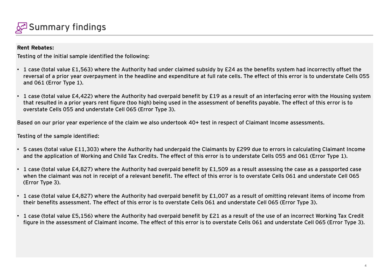

### **Rent Rebates:**

Testing of the initial sample identified the following:

- 1 case (total value £1,563) where the Authority had under claimed subsidy by £24 as the benefits system had incorrectly offset the reversal of a prior year overpayment in the headline and expenditure at full rate cells. The effect of this error is to understate Cells 055 and 061 (Error Type 1).
- 1 case (total value £4,422) where the Authority had overpaid benefit by £19 as a result of an interfacing error with the Housing system that resulted in a prior years rent figure (too high) being used in the assessment of benefits payable. The effect of this error is to overstate Cells 055 and understate Cell 065 (Error Type 3).

Based on our prior year experience of the claim we also undertook 40+ test in respect of Claimant Income assessments.

Testing of the sample identified:

- 5 cases (total value £11,303) where the Authority had underpaid the Claimants by £299 due to errors in calculating Claimant Income and the application of Working and Child Tax Credits. The effect of this error is to understate Cells 055 and 061 (Error Type 1).
- 1 case (total value £4,827) where the Authority had overpaid benefit by £1,509 as a result assessing the case as a passported case when the claimant was not in receipt of a relevant benefit. The effect of this error is to overstate Cells 061 and understate Cell 065 (Error Type 3).
- 1 case (total value £4,827) where the Authority had overpaid benefit by £1,007 as a result of omitting relevant items of income from their benefits assessment. The effect of this error is to overstate Cells 061 and understate Cell 065 (Error Type 3).
- 1 case (total value £5,156) where the Authority had overpaid benefit by £21 as a result of the use of an incorrect Working Tax Credit figure in the assessment of Claimant income. The effect of this error is to overstate Cells 061 and understate Cell 065 (Error Type 3).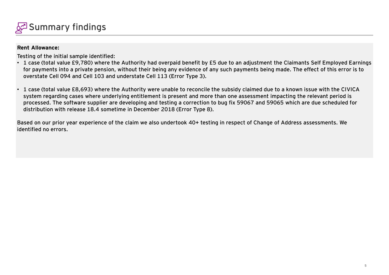

### **Rent Allowance:**

Testing of the initial sample identified:

- 1 case (total value £9,780) where the Authority had overpaid benefit by £5 due to an adjustment the Claimants Self Employed Earnings for payments into a private pension, without their being any evidence of any such payments being made. The effect of this error is to overstate Cell 094 and Cell 103 and understate Cell 113 (Error Type 3).
- 1 case (total value £8,693) where the Authority were unable to reconcile the subsidy claimed due to a known issue with the CIVICA system regarding cases where underlying entitlement is present and more than one assessment impacting the relevant period is processed. The software supplier are developing and testing a correction to bug fix 59067 and 59065 which are due scheduled for distribution with release 18.4 sometime in December 2018 (Error Type 8).

Based on our prior year experience of the claim we also undertook 40+ testing in respect of Change of Address assessments. We identified no errors.